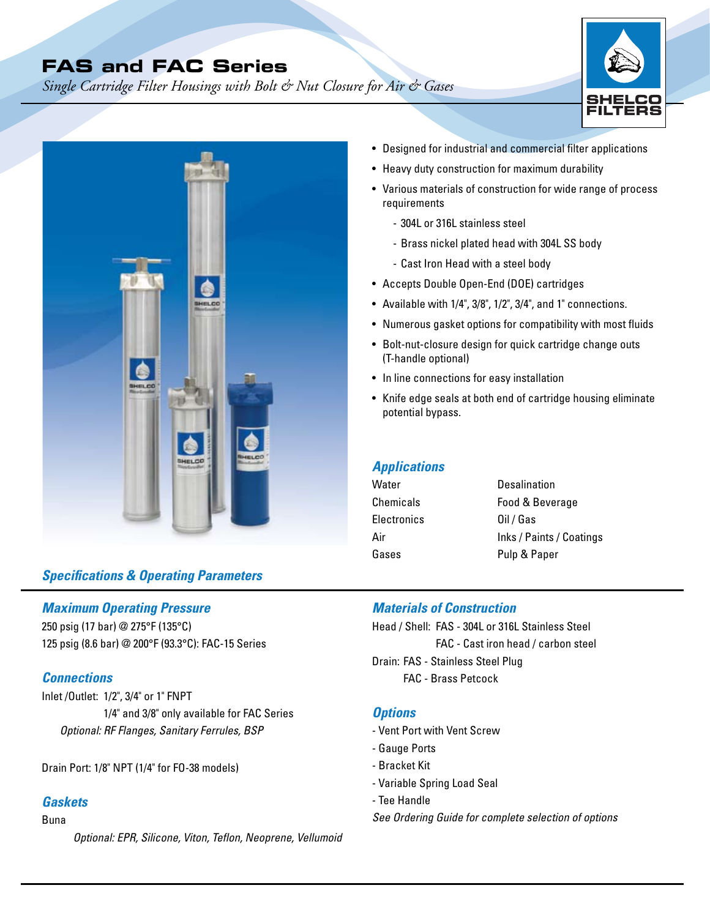# **FAS and FAC Series**

*Single Cartridge Filter Housings with Bolt & Nut Closure for Air & Gases* 





### *Specifications & Operating Parameters*

### *Maximum Operating Pressure*

250 psig (17 bar) @ 275°F (135°C) 125 psig (8.6 bar) @ 200°F (93.3°C): FAC-15 Series

### *Connections*

Inlet /Outlet: 1/2", 3/4" or 1" FNPT 1/4" and 3/8" only available for FAC Series *Optional: RF Flanges, Sanitary Ferrules, BSP* 

Drain Port: 1/8" NPT (1/4" for FO-38 models)

### *Gaskets*

### Buna

*Optional: EPR, Silicone, Viton, Teflon, Neoprene, Vellumoid*

- Designed for industrial and commercial filter applications
- Heavy duty construction for maximum durability
- Various materials of construction for wide range of process requirements
	- 304L or 316L stainless steel
	- Brass nickel plated head with 304L SS body
	- Cast Iron Head with a steel body
- Accepts Double Open-End (DOE) cartridges
- Available with 1/4", 3/8", 1/2", 3/4", and 1" connections.
- Numerous gasket options for compatibility with most fluids
- Bolt-nut-closure design for quick cartridge change outs (T-handle optional)
- In line connections for easy installation
- Knife edge seals at both end of cartridge housing eliminate potential bypass.

### *Applications*

| Desalination             |
|--------------------------|
| Food & Beverage          |
| Oil / Gas                |
| Inks / Paints / Coatings |
| Pulp & Paper             |
|                          |

### *Materials of Construction*

Head / Shell: FAS - 304L or 316L Stainless Steel FAC - Cast iron head / carbon steel Drain: FAS - Stainless Steel Plug FAC - Brass Petcock

### *Options*

- Vent Port with Vent Screw
- Gauge Ports
- Bracket Kit
- Variable Spring Load Seal
- Tee Handle
- *See Ordering Guide for complete selection of options*